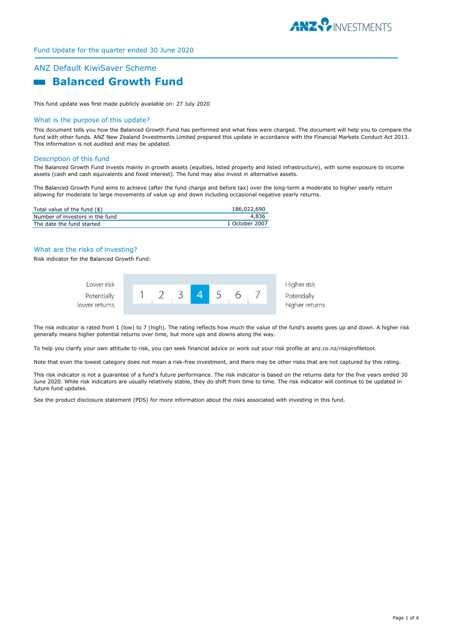

# Fund Update for the quarter ended 30 June 2020

# ANZ Default KiwiSaver Scheme  **Balanced Growth Fund**

This fund update was first made publicly available on: 27 July 2020

#### What is the purpose of this update?

This document tells you how the Balanced Growth Fund has performed and what fees were charged. The document will help you to compare the fund with other funds. ANZ New Zealand Investments Limited prepared this update in accordance with the Financial Markets Conduct Act 2013. This information is not audited and may be updated.

#### Description of this fund

The Balanced Growth Fund invests mainly in growth assets (equities, listed property and listed infrastructure), with some exposure to income assets (cash and cash equivalents and fixed interest). The fund may also invest in alternative assets.

The Balanced Growth Fund aims to achieve (after the fund charge and before tax) over the long-term a moderate to higher yearly return allowing for moderate to large movements of value up and down including occasional negative yearly returns.

| Total value of the fund $(\$)$  | 186,022,690    |
|---------------------------------|----------------|
| Number of investors in the fund | 4.836          |
| The date the fund started       | 1 October 2007 |

# What are the risks of investing?

Risk indicator for the Balanced Growth Fund:



The risk indicator is rated from 1 (low) to 7 (high). The rating reflects how much the value of the fund's assets goes up and down. A higher risk generally means higher potential returns over time, but more ups and downs along the way.

To help you clarify your own attitude to risk, you can seek financial advice or work out your risk profile at anz.co.nz/riskprofiletool.

Note that even the lowest category does not mean a risk-free investment, and there may be other risks that are not captured by this rating.

This risk indicator is not a guarantee of a fund's future performance. The risk indicator is based on the returns data for the five years ended 30 June 2020. While risk indicators are usually relatively stable, they do shift from time to time. The risk indicator will continue to be updated in future fund updates.

See the product disclosure statement (PDS) for more information about the risks associated with investing in this fund.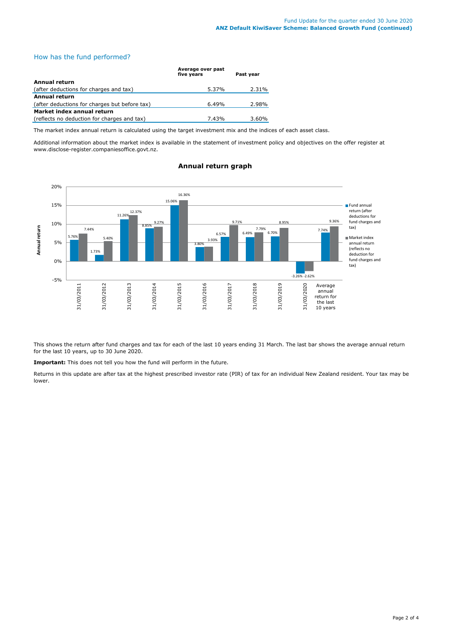# How has the fund performed?

|                                               | Average over past<br>five years | Past year |
|-----------------------------------------------|---------------------------------|-----------|
| <b>Annual return</b>                          |                                 |           |
| (after deductions for charges and tax)        | 5.37%                           | 2.31%     |
| <b>Annual return</b>                          |                                 |           |
| (after deductions for charges but before tax) | 6.49%                           | 2.98%     |
| Market index annual return                    |                                 |           |
| (reflects no deduction for charges and tax)   | 7.43%                           | 3.60%     |

The market index annual return is calculated using the target investment mix and the indices of each asset class.

Additional information about the market index is available in the statement of investment policy and objectives on the offer register at www.disclose-register.companiesoffice.govt.nz.



# **Annual return graph**

This shows the return after fund charges and tax for each of the last 10 years ending 31 March. The last bar shows the average annual return for the last 10 years, up to 30 June 2020.

**Important:** This does not tell you how the fund will perform in the future.

Returns in this update are after tax at the highest prescribed investor rate (PIR) of tax for an individual New Zealand resident. Your tax may be lower.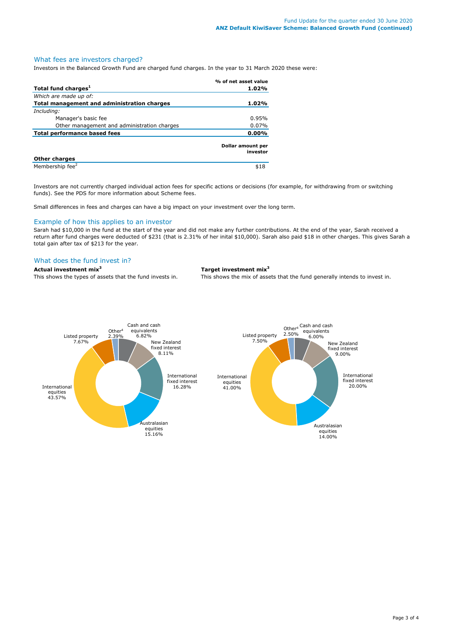## What fees are investors charged?

Investors in the Balanced Growth Fund are charged fund charges. In the year to 31 March 2020 these were:

|                                             | % of net asset value          |
|---------------------------------------------|-------------------------------|
| Total fund charges <sup>1</sup>             | 1.02%                         |
| Which are made up of:                       |                               |
| Total management and administration charges | 1.02%                         |
| Including:                                  |                               |
| Manager's basic fee                         | 0.95%                         |
| Other management and administration charges | 0.07%                         |
| <b>Total performance based fees</b>         | 0.00%                         |
|                                             | Dollar amount per<br>investor |
| <b>Other charges</b>                        |                               |
| Membership fee <sup>2</sup>                 | \$18                          |

Investors are not currently charged individual action fees for specific actions or decisions (for example, for withdrawing from or switching funds). See the PDS for more information about Scheme fees.

Small differences in fees and charges can have a big impact on your investment over the long term.

## Example of how this applies to an investor

Sarah had \$10,000 in the fund at the start of the year and did not make any further contributions. At the end of the year, Sarah received a return after fund charges were deducted of \$231 (that is 2.31% of her inital \$10,000). Sarah also paid \$18 in other charges. This gives Sarah a total gain after tax of \$213 for the year.

# What does the fund invest in?

## **Actual investment mix<sup>3</sup> Target investment mix<sup>3</sup>**

This shows the types of assets that the fund invests in. This shows the mix of assets that the fund generally intends to invest in.